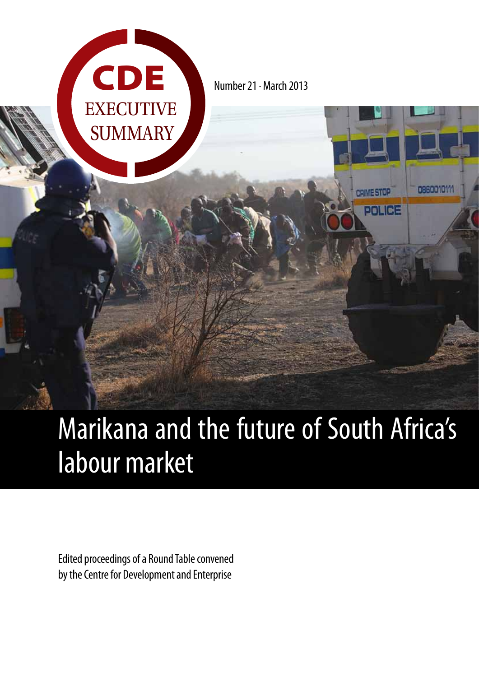

Number 21 · March 2013

0860010111

**CRIME STOP** 

POLICE

# Marikana and the future of South Africa's labour market

Edited proceedings of a Round Table convened by the Centre for Development and Enterprise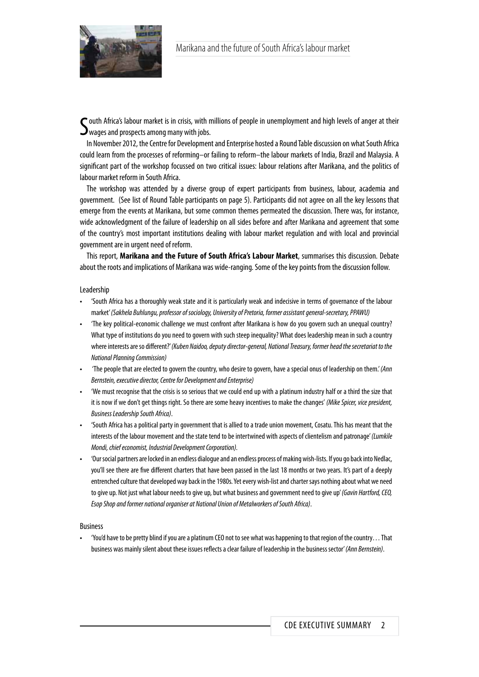

South Africa's labour market is in crisis, with n<br>Swages and prospects among many with jobs.  $\tilde{\phantom{a}}$ outh Africa's labour market is in crisis, with millions of people in unemployment and high levels of anger at their

In November 2012, the Centre for Development and Enterprise hosted a Round Table discussion on what South Africa could learn from the processes of reforming–or failing to reform–the labour markets of India, Brazil and Malaysia. A significant part of the workshop focussed on two critical issues: labour relations after Marikana, and the politics of labour market reform in South Africa.

The workshop was attended by a diverse group of expert participants from business, labour, academia and government. (See list of Round Table participants on page 5). Participants did not agree on all the key lessons that emerge from the events at Marikana, but some common themes permeated the discussion. There was, for instance, wide acknowledgment of the failure of leadership on all sides before and after Marikana and agreement that some of the country's most important institutions dealing with labour market regulation and with local and provincial government are in urgent need of reform.

This report, **Marikana and the Future of South Africa's Labour Market**, summarises this discussion. Debate about the roots and implications of Marikana was wide-ranging. Some of the key points from the discussion follow.

#### Leadership

- 'South Africa has a thoroughly weak state and it is particularly weak and indecisive in terms of governance of the labour market' *(Sakhela Buhlungu, professor of sociology, University of Pretoria, former assistant general-secretary, PPAWU)*
- 'The key political-economic challenge we must confront after Marikana is how do you govern such an unequal country? What type of institutions do you need to govern with such steep inequality? What does leadership mean in such a country where interests are so different?' *(Kuben Naidoo, deputy director-general, National Treasury, former head the secretariat to the National Planning Commission)*
- 'The people that are elected to govern the country, who desire to govern, have a special onus of leadership on them.' *(Ann Bernstein, executive director, Centre for Development and Enterprise)*
- 'We must recognise that the crisis is so serious that we could end up with a platinum industry half or a third the size that it is now if we don't get things right. So there are some heavy incentives to make the changes' *(Mike Spicer, vice president, Business Leadership South Africa)*.
- 'South Africa has a political party in government that is allied to a trade union movement, Cosatu. This has meant that the interests of the labour movement and the state tend to be intertwined with aspects of clientelism and patronage' *(Lumkile Mondi, chief economist, Industrial Development Corporation).*
- 'Our social partners are locked in an endless dialogue and an endless process of making wish-lists. If you go back into Nedlac, you'll see there are five different charters that have been passed in the last 18 months or two years. It's part of a deeply entrenched culture that developed way back in the 1980s. Yet every wish-list and charter says nothing about what we need to give up. Not just what labour needs to give up, but what business and government need to give up' *(Gavin Hartford, CEO, Esop Shop and former national organiser at National Union of Metalworkers of South Africa)*.

#### Business

• 'You'd have to be pretty blind if you are a platinum CEO not to see what was happening to that region of the country… That business was mainly silent about these issues reflects a clear failure of leadership in the business sector' *(Ann Bernstein)*.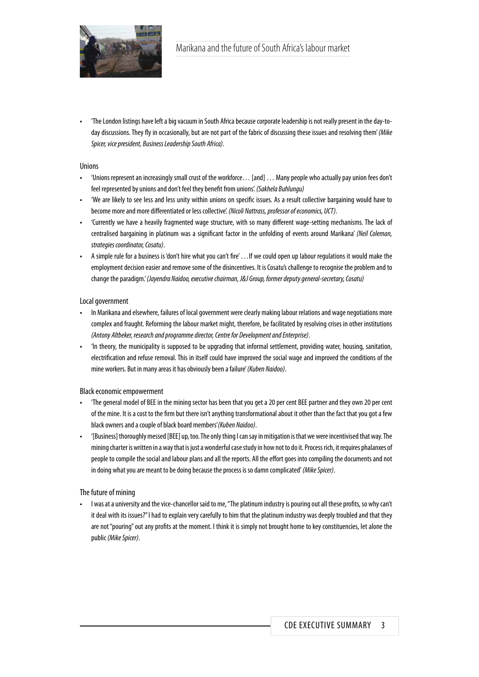

• 'The London listings have left a big vacuum in South Africa because corporate leadership is not really present in the day-today discussions. They fly in occasionally, but are not part of the fabric of discussing these issues and resolving them' *(Mike Spicer, vice president, Business Leadership South Africa)*.

#### Unions

- 'Unions represent an increasingly small crust of the workforce… [and] … Many people who actually pay union fees don't feel represented by unions and don't feel they benefit from unions'. *(Sakhela Buhlungu)*
- 'We are likely to see less and less unity within unions on specific issues. As a result collective bargaining would have to become more and more differentiated or less collective'. *(Nicoli Nattrass, professor of economics, UCT)*.
- 'Currently we have a heavily fragmented wage structure, with so many different wage-setting mechanisms. The lack of centralised bargaining in platinum was a significant factor in the unfolding of events around Marikana' *(Neil Coleman, strategies coordinator, Cosatu)*.
- A simple rule for a business is 'don't hire what you can't fire' …If we could open up labour regulations it would make the employment decision easier and remove some of the disincentives. It is Cosatu's challenge to recognise the problem and to change the paradigm.' *(Jayendra Naidoo, executive chairman, J&J Group, former deputy general-secretary, Cosatu)*

#### Local government

- In Marikana and elsewhere, failures of local government were clearly making labour relations and wage negotiations more complex and fraught. Reforming the labour market might, therefore, be facilitated by resolving crises in other institutions *(Antony Altbeker, research and programme director, Centre for Development and Enterprise)*.
- 'In theory, the municipality is supposed to be upgrading that informal settlement, providing water, housing, sanitation, electrification and refuse removal. This in itself could have improved the social wage and improved the conditions of the mine workers. But in many areas it has obviously been a failure' *(Kuben Naidoo)*.

#### Black economic empowerment

- 'The general model of BEE in the mining sector has been that you get a 20 per cent BEE partner and they own 20 per cent of the mine. It is a cost to the firm but there isn't anything transformational about it other than the fact that you got a few black owners and a couple of black board members'*(Kuben Naidoo)*.
- '[Business] thoroughly messed [BEE] up, too. The only thing I can say in mitigation is that we were incentivised that way. The mining charter is written in a way that is just a wonderful case study in how not to do it. Process rich, it requires phalanxes of people to compile the social and labour plans and all the reports. All the effort goes into compiling the documents and not in doing what you are meant to be doing because the process is so damn complicated' *(Mike Spicer)*.

#### The future of mining

• I was at a university and the vice-chancellor said to me, "The platinum industry is pouring out all these profits, so why can't it deal with its issues?" I had to explain very carefully to him that the platinum industry was deeply troubled and that they are not "pouring" out any profits at the moment. I think it is simply not brought home to key constituencies, let alone the public *(Mike Spicer)*.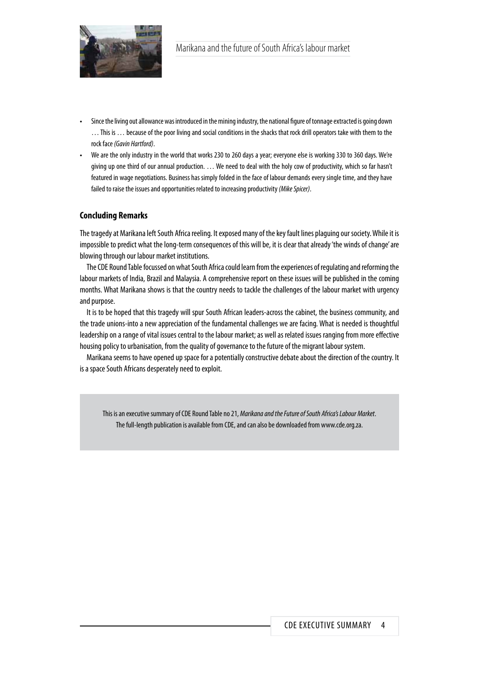

- Since the living out allowance was introduced in the mining industry, the national figure of tonnage extracted is going down … This is … because of the poor living and social conditions in the shacks that rock drill operators take with them to the rock face *(Gavin Hartford)*.
- We are the only industry in the world that works 230 to 260 days a year; everyone else is working 330 to 360 days. We're giving up one third of our annual production. … We need to deal with the holy cow of productivity, which so far hasn't featured in wage negotiations. Business has simply folded in the face of labour demands every single time, and they have failed to raise the issues and opportunities related to increasing productivity *(Mike Spicer)*.

### **Concluding Remarks**

The tragedy at Marikana left South Africa reeling. It exposed many of the key fault lines plaguing our society. While it is impossible to predict what the long-term consequences of this will be, it is clear that already 'the winds of change' are blowing through our labour market institutions.

The CDE Round Table focussed on what South Africa could learn from the experiences of regulating and reforming the labour markets of India, Brazil and Malaysia. A comprehensive report on these issues will be published in the coming months. What Marikana shows is that the country needs to tackle the challenges of the labour market with urgency and purpose.

It is to be hoped that this tragedy will spur South African leaders-across the cabinet, the business community, and the trade unions-into a new appreciation of the fundamental challenges we are facing. What is needed is thoughtful leadership on a range of vital issues central to the labour market; as well as related issues ranging from more effective housing policy to urbanisation, from the quality of governance to the future of the migrant labour system.

Marikana seems to have opened up space for a potentially constructive debate about the direction of the country. It is a space South Africans desperately need to exploit.

This is an executive summary of CDE Round Table no 21, *Marikana and the Future of South Africa's Labour Market*. The full-length publication is available from CDE, and can also be downloaded from www.cde.org.za.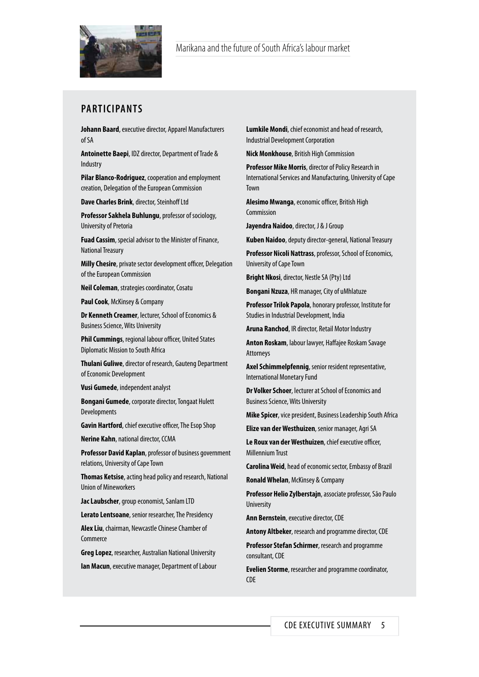

## **PARTICIPANTS**

**Johann Baard**, executive director, Apparel Manufacturers of SA

**Antoinette Baepi**, IDZ director, Department of Trade & Industry

**Pilar Blanco-Rodriguez**, cooperation and employment creation, Delegation of the European Commission

**Dave Charles Brink**, director, Steinhoff Ltd

**Professor Sakhela Buhlungu**, professor of sociology, University of Pretoria

**Fuad Cassim**, special advisor to the Minister of Finance, National Treasury

**Milly Chesire**, private sector development officer, Delegation of the European Commission

**Neil Coleman**, strategies coordinator, Cosatu

**Paul Cook**, McKinsey & Company

**Dr Kenneth Creamer**, lecturer, School of Economics & Business Science, Wits University

**Phil Cummings**, regional labour officer, United States Diplomatic Mission to South Africa

**Thulani Guliwe**, director of research, Gauteng Department of Economic Development

**Vusi Gumede**, independent analyst

**Bongani Gumede**, corporate director, Tongaat Hulett Developments

**Gavin Hartford**, chief executive officer, The Esop Shop

**Nerine Kahn**, national director, CCMA

**Professor David Kaplan**, professor of business government relations, University of Cape Town

**Thomas Ketsise**, acting head policy and research, National Union of Mineworkers

**Jac Laubscher**, group economist, Sanlam LTD

**Lerato Lentsoane**, senior researcher, The Presidency

**Alex Liu**, chairman, Newcastle Chinese Chamber of **Commerce** 

**Greg Lopez**, researcher, Australian National University

**Ian Macun**, executive manager, Department of Labour

**Lumkile Mondi**, chief economist and head of research, Industrial Development Corporation

**Nick Monkhouse**, British High Commission

**Professor Mike Morris**, director of Policy Research in International Services and Manufacturing, University of Cape Town

**Alesimo Mwanga**, economic officer, British High Commission

**Jayendra Naidoo**, director, J & J Group

**Kuben Naidoo**, deputy director-general, National Treasury

**Professor Nicoli Nattrass**, professor, School of Economics, University of Cape Town

**Bright Nkosi**, director, Nestle SA (Pty) Ltd

**Bongani Nzuza**, HR manager, City of uMhlatuze

**Professor Trilok Papola**, honorary professor, Institute for Studies in Industrial Development, India

**Aruna Ranchod**, IR director, Retail Motor Industry

**Anton Roskam**, labour lawyer, Haffajee Roskam Savage Attorneys

**Axel Schimmelpfennig**, senior resident representative, International Monetary Fund

**Dr Volker Schoer**, lecturer at School of Economics and Business Science, Wits University

**Mike Spicer**, vice president, Business Leadership South Africa

**Elize van der Westhuizen**, senior manager, Agri SA

**Le Roux van der Westhuizen**, chief executive officer, Millennium Trust

**Carolina Weid**, head of economic sector, Embassy of Brazil

**Ronald Whelan**, McKinsey & Company

**Professor Helio Zylberstajn**, associate professor, São Paulo **University** 

**Ann Bernstein**, executive director, CDE

**Antony Altbeker**, research and programme director, CDE

**Professor Stefan Schirmer**, research and programme consultant, CDE

**Evelien Storme**, researcher and programme coordinator, CDE